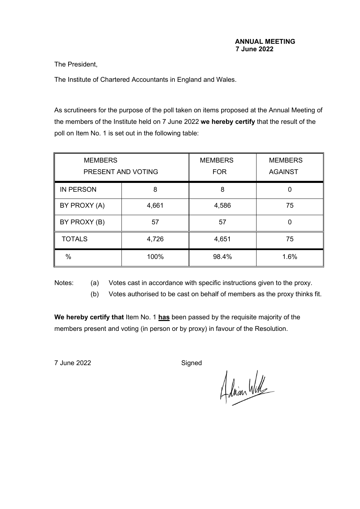The President,

The Institute of Chartered Accountants in England and Wales.

As scrutineers for the purpose of the poll taken on items proposed at the Annual Meeting of the members of the Institute held on 7 June 2022 **we hereby certify** that the result of the poll on Item No. 1 is set out in the following table:

| <b>MEMBERS</b><br>PRESENT AND VOTING |       | <b>MEMBERS</b><br><b>FOR</b> | <b>MEMBERS</b><br><b>AGAINST</b> |
|--------------------------------------|-------|------------------------------|----------------------------------|
| <b>IN PERSON</b>                     | 8     | 8                            |                                  |
| BY PROXY (A)                         | 4,661 | 4,586                        | 75                               |
| BY PROXY (B)                         | 57    | 57                           |                                  |
| <b>TOTALS</b>                        | 4,726 | 4,651                        | 75                               |
| $\%$                                 | 100%  | 98.4%                        | 1.6%                             |

Notes: (a) Votes cast in accordance with specific instructions given to the proxy.

(b) Votes authorised to be cast on behalf of members as the proxy thinks fit.

**We hereby certify that** Item No. 1 **has** been passed by the requisite majority of the members present and voting (in person or by proxy) in favour of the Resolution.

7 June 2022 Signed

Adrian Will